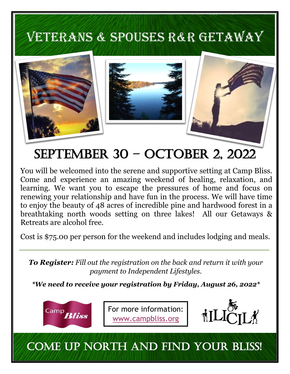# VETERANS & SPOUSES R&R GETAWAY



# September 30 – October 2, 2022

You will be welcomed into the serene and supportive setting at Camp Bliss. Come and experience an amazing weekend of healing, relaxation, and learning. We want you to escape the pressures of home and focus on renewing your relationship and have fun in the process. We will have time to enjoy the beauty of 48 acres of incredible pine and hardwood forest in a breathtaking north woods setting on three lakes! All our Getaways & Retreats are alcohol free.

Cost is \$75.00 per person for the weekend and includes lodging and meals.

*To Register: Fill out the registration on the back and return it with your payment to Independent Lifestyles.* 

*\*We need to receive your registration by Friday, August 26, 2022\**



For more information: www.campbliss.org



## COME UP NORTH AND FIND YOUR BLISS!